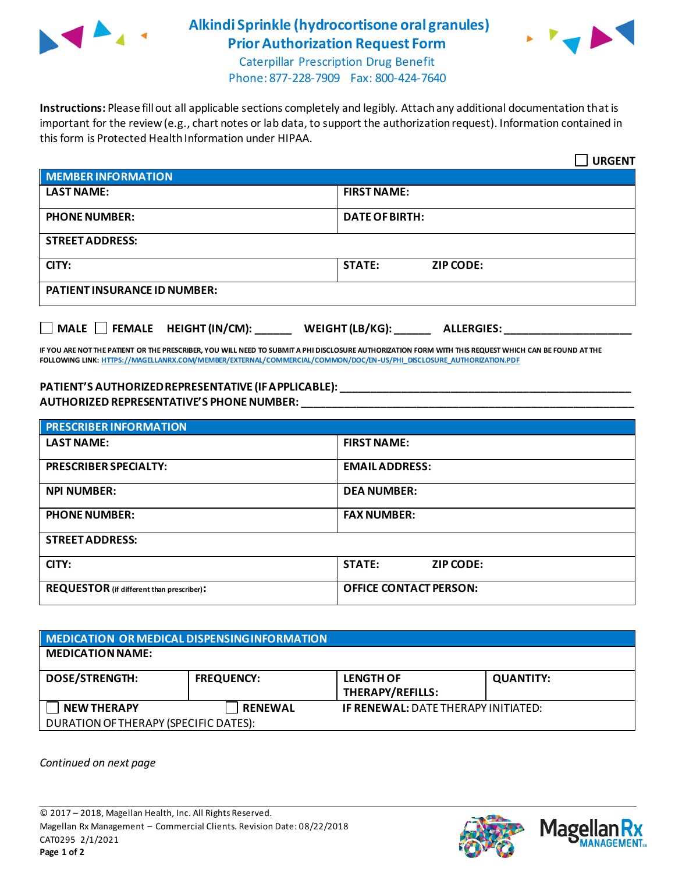

## **Alkindi Sprinkle (hydrocortisone oral granules) Prior Authorization Request Form**



Caterpillar Prescription Drug Benefit Phone: 877-228-7909 Fax: 800-424-7640

**Instructions:** Please fill out all applicable sections completely and legibly. Attach any additional documentation that is important for the review (e.g., chart notes or lab data, to support the authorization request). Information contained in this form is Protected Health Information under HIPAA.

|                                           | <b>URGENT</b>                        |  |
|-------------------------------------------|--------------------------------------|--|
| <b>MEMBER INFORMATION</b>                 |                                      |  |
| <b>LAST NAME:</b>                         | <b>FIRST NAME:</b>                   |  |
| <b>PHONE NUMBER:</b>                      | <b>DATE OF BIRTH:</b>                |  |
| <b>STREET ADDRESS:</b>                    |                                      |  |
| CITY:                                     | <b>ZIP CODE:</b><br><b>STATE:</b>    |  |
| <b>PATIENT INSURANCE ID NUMBER:</b>       |                                      |  |
| $\Box$ MALE $\Box$ FEMALE HEIGHT (IN/CM): | WEIGHT (LB/KG):<br><b>ALLERGIES:</b> |  |

**IF YOU ARE NOT THE PATIENT OR THE PRESCRIBER, YOU WILL NEED TO SUBMIT A PHI DISCLOSURE AUTHORIZATION FORM WITH THIS REQUEST WHICH CAN BE FOUND AT THE FOLLOWING LINK[: HTTPS://MAGELLANRX.COM/MEMBER/EXTERNAL/COMMERCIAL/COMMON/DOC/EN-US/PHI\\_DISCLOSURE\\_AUTHORIZATION.PDF](https://magellanrx.com/member/external/commercial/common/doc/en-us/PHI_Disclosure_Authorization.pdf)**

## **PATIENT'S AUTHORIZED REPRESENTATIVE (IF APPLICABLE): \_\_\_\_\_\_\_\_\_\_\_\_\_\_\_\_\_\_\_\_\_\_\_\_\_\_\_\_\_\_\_\_\_\_\_\_\_\_\_\_\_\_\_\_\_\_\_\_ AUTHORIZED REPRESENTATIVE'S PHONE NUMBER: \_\_\_\_\_\_\_\_\_\_\_\_\_\_\_\_\_\_\_\_\_\_\_\_\_\_\_\_\_\_\_\_\_\_\_\_\_\_\_\_\_\_\_\_\_\_\_\_\_\_\_\_\_\_\_**

| <b>PRESCRIBER INFORMATION</b>             |                               |  |
|-------------------------------------------|-------------------------------|--|
| <b>LAST NAME:</b>                         | <b>FIRST NAME:</b>            |  |
| <b>PRESCRIBER SPECIALTY:</b>              | <b>EMAIL ADDRESS:</b>         |  |
| <b>NPI NUMBER:</b>                        | <b>DEA NUMBER:</b>            |  |
| <b>PHONE NUMBER:</b>                      | <b>FAX NUMBER:</b>            |  |
| <b>STREET ADDRESS:</b>                    |                               |  |
| CITY:                                     | <b>STATE:</b><br>ZIP CODE:    |  |
| REQUESTOR (if different than prescriber): | <b>OFFICE CONTACT PERSON:</b> |  |

| MEDICATION OR MEDICAL DISPENSING INFORMATION |                   |                                            |                  |  |  |
|----------------------------------------------|-------------------|--------------------------------------------|------------------|--|--|
| <b>MEDICATION NAME:</b>                      |                   |                                            |                  |  |  |
| <b>DOSE/STRENGTH:</b>                        | <b>FREQUENCY:</b> | <b>LENGTH OF</b><br>THERAPY/REFILLS:       | <b>QUANTITY:</b> |  |  |
| <b>NEW THERAPY</b>                           | <b>RENEWAL</b>    | <b>IF RENEWAL: DATE THERAPY INITIATED:</b> |                  |  |  |
| DURATION OF THERAPY (SPECIFIC DATES):        |                   |                                            |                  |  |  |

*Continued on next page*